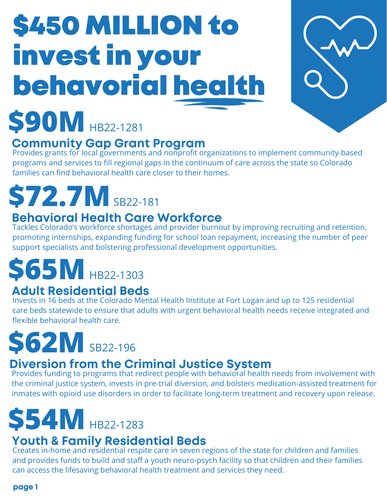# \$450 MILLION to invest in your behavorial health



# **\$90M** HB22-1281

### **Community Gap Grant Program**

Provides grants for local governments and nonprofit organizations to implement community-based programs and services to fill regional gaps in the continuum of care across the state so Colorado families can find behavioral health care closer to their homes.

### **\$72.7M** SB22-181

#### **Behavioral Health Care Workforce**

Tackles Colorado's workforce shortages and provider burnout by improving recruiting and retention, promoting internships, expanding funding for school loan repayment, increasing the number of peer support specialists and bolstering professional development opportunities.

## **\$65M** HB22-1303

### **Adult Residential Beds**

Invests in 16 beds at the Colorado Mental Health Institute at Fort Logan and up to 125 residential care beds statewide to ensure that adults with urgent behavioral health needs receive integrated and flexible behavioral health care.

# **\$62M** SB22-196

#### **Diversion from the Criminal Justice System**

Provides funding to programs that redirect people with behavioral health needs from involvement with the criminal justice system, invests in pre-trial diversion, and bolsters medication-assisted treatment for inmates with opioid use disorders in order to facilitate long-term treatment and recovery upon release.

# **\$54M** HB22-1283

#### **Youth & Family Residential Beds**

Creates in-home and residential respite care in seven regions of the state for children and families and provides funds to build and staff a youth neuro-psych facility so that children and their families can access the lifesaving behavioral health treatment and services they need.

**page 1**